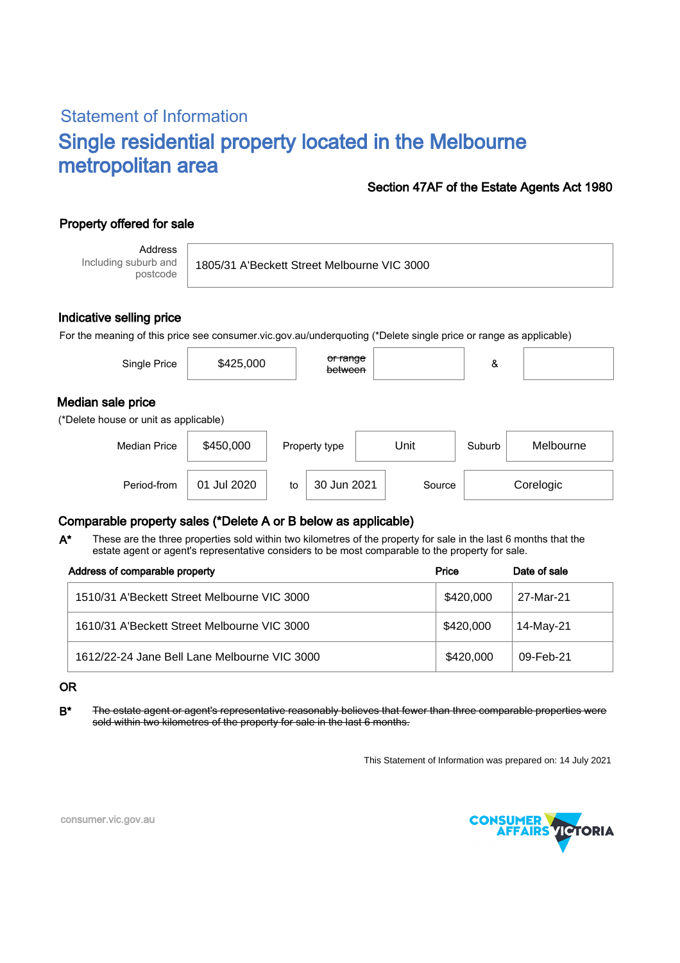# Statement of Information Single residential property located in the Melbourne metropolitan area

### Section 47AF of the Estate Agents Act 1980

## Property offered for sale

Address Including suburb and postcode

1805/31 A'Beckett Street Melbourne VIC 3000

#### Indicative selling price

For the meaning of this price see consumer.vic.gov.au/underquoting (\*Delete single price or range as applicable)

| Single Price                                               | \$425,000 | <del>or range</del><br>between |      | &      |           |  |  |  |  |  |
|------------------------------------------------------------|-----------|--------------------------------|------|--------|-----------|--|--|--|--|--|
| Median sale price<br>(*Delete house or unit as applicable) |           |                                |      |        |           |  |  |  |  |  |
| <b>Median Price</b>                                        | \$450,000 | Property type                  | Unit | Suburb | Melbourne |  |  |  |  |  |

Period-from | 01 Jul 2020 | to | 30 Jun 2021 | Source | Corelogic

### Comparable property sales (\*Delete A or B below as applicable)

These are the three properties sold within two kilometres of the property for sale in the last 6 months that the estate agent or agent's representative considers to be most comparable to the property for sale. A\*

| Address of comparable property               | Price     | Date of sale |  |
|----------------------------------------------|-----------|--------------|--|
| 1510/31 A'Beckett Street Melbourne VIC 3000  | \$420,000 | 27-Mar-21    |  |
| 1610/31 A'Beckett Street Melbourne VIC 3000  | \$420,000 | 14-May-21    |  |
| 1612/22-24 Jane Bell Lane Melbourne VIC 3000 | \$420,000 | 09-Feb-21    |  |

#### OR

B<sup>\*</sup> The estate agent or agent's representative reasonably believes that fewer than three comparable properties were sold within two kilometres of the property for sale in the last 6 months.

This Statement of Information was prepared on: 14 July 2021



consumer.vic.gov.au